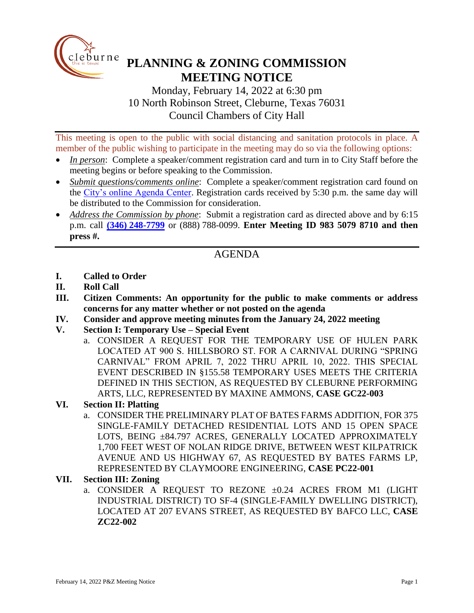

# **PLANNING & ZONING COMMISSION MEETING NOTICE**

Monday, February 14, 2022 at 6:30 pm 10 North Robinson Street, Cleburne, Texas 76031 Council Chambers of City Hall

This meeting is open to the public with social distancing and sanitation protocols in place. A member of the public wishing to participate in the meeting may do so via the following options:

- *In person*: Complete a speaker/comment registration card and turn in to City Staff before the meeting begins or before speaking to the Commission.
- *Submit questions/comments online*: Complete a speaker/comment registration card found on the [City's online Agenda Center.](https://www.cleburne.net/agendacenter) Registration cards received by 5:30 p.m. the same day will be distributed to the Commission for consideration.
- *Address the Commission by phone*: Submit a registration card as directed above and by 6:15 p.m. call **(346) [248-7799](tel:+13127573117,,477307821)** or (888) 788-0099. **Enter Meeting ID 983 5079 8710 and then press #.**

## AGENDA

- **I. Called to Order**
- **II. Roll Call**
- **III. Citizen Comments: An opportunity for the public to make comments or address concerns for any matter whether or not posted on the agenda**
- **IV. Consider and approve meeting minutes from the January 24, 2022 meeting**
- **V. Section I: Temporary Use – Special Event**
	- a. CONSIDER A REQUEST FOR THE TEMPORARY USE OF HULEN PARK LOCATED AT 900 S. HILLSBORO ST. FOR A CARNIVAL DURING "SPRING CARNIVAL" FROM APRIL 7, 2022 THRU APRIL 10, 2022. THIS SPECIAL EVENT DESCRIBED IN §155.58 TEMPORARY USES MEETS THE CRITERIA DEFINED IN THIS SECTION, AS REQUESTED BY CLEBURNE PERFORMING ARTS, LLC, REPRESENTED BY MAXINE AMMONS, **CASE GC22-003**
- **VI. Section II: Platting**
	- a. CONSIDER THE PRELIMINARY PLAT OF BATES FARMS ADDITION, FOR 375 SINGLE-FAMILY DETACHED RESIDENTIAL LOTS AND 15 OPEN SPACE LOTS, BEING ±84.797 ACRES, GENERALLY LOCATED APPROXIMATELY 1,700 FEET WEST OF NOLAN RIDGE DRIVE, BETWEEN WEST KILPATRICK AVENUE AND US HIGHWAY 67, AS REQUESTED BY BATES FARMS LP, REPRESENTED BY CLAYMOORE ENGINEERING, **CASE PC22-001**

#### **VII. Section III: Zoning**

a. CONSIDER A REQUEST TO REZONE  $\pm 0.24$  ACRES FROM M1 (LIGHT INDUSTRIAL DISTRICT) TO SF-4 (SINGLE-FAMILY DWELLING DISTRICT), LOCATED AT 207 EVANS STREET, AS REQUESTED BY BAFCO LLC, **CASE ZC22-002**